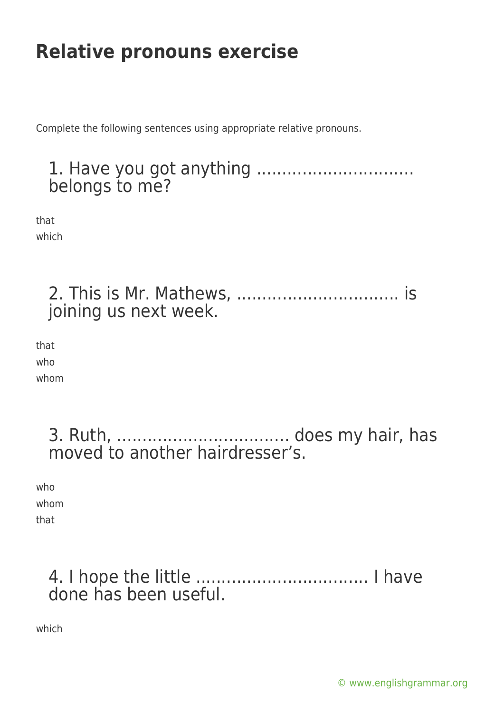# **Relative pronouns exercise**

Complete the following sentences using appropriate relative pronouns.

#### 1. Have you got anything ............................... belongs to me?

that which

|  | joining us next week. |  |
|--|-----------------------|--|

that who whom

> 3. Ruth, .................................. does my hair, has moved to another hairdresser's.

who whom that

### 4. I hope the little .................................. I have done has been useful.

which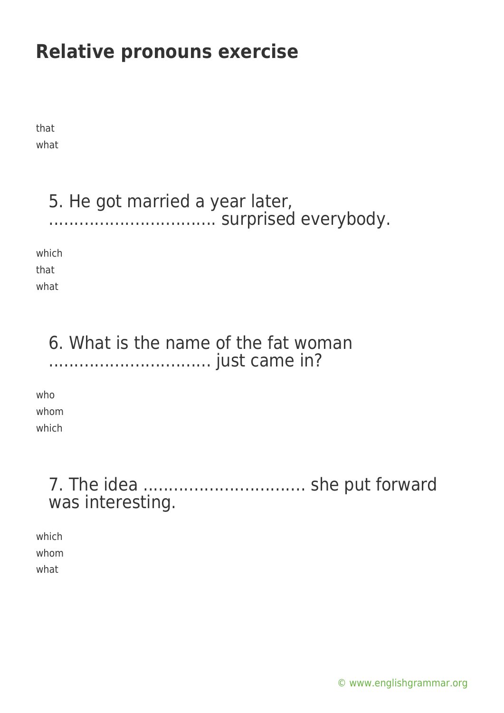# **Relative pronouns exercise**

that what

#### 5. He got married a year later, ................................. surprised everybody.

which that

what

### 6. What is the name of the fat woman ................................ just came in?

who whom which

## 7. The idea ................................ she put forward was interesting.

which whom what